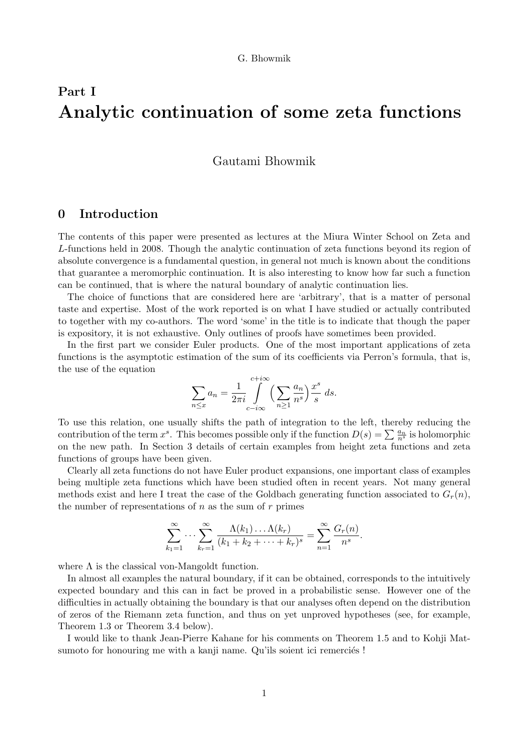# Part I Analytic continuation of some zeta functions

Gautami Bhowmik

# 0 Introduction

The contents of this paper were presented as lectures at the Miura Winter School on Zeta and L-functions held in 2008. Though the analytic continuation of zeta functions beyond its region of absolute convergence is a fundamental question, in general not much is known about the conditions that guarantee a meromorphic continuation. It is also interesting to know how far such a function can be continued, that is where the natural boundary of analytic continuation lies.

The choice of functions that are considered here are 'arbitrary', that is a matter of personal taste and expertise. Most of the work reported is on what I have studied or actually contributed to together with my co-authors. The word 'some' in the title is to indicate that though the paper is expository, it is not exhaustive. Only outlines of proofs have sometimes been provided.

In the first part we consider Euler products. One of the most important applications of zeta functions is the asymptotic estimation of the sum of its coefficients via Perron's formula, that is, the use of the equation

$$
\sum_{n \le x} a_n = \frac{1}{2\pi i} \int_{c-i\infty}^{c+i\infty} \left(\sum_{n\ge 1} \frac{a_n}{n^s}\right) \frac{x^s}{s} ds.
$$

To use this relation, one usually shifts the path of integration to the left, thereby reducing the contribution of the term  $x^s$ . This becomes possible only if the function  $D(s) = \sum_{n=1}^{\infty} \frac{a_n}{n^s}$  is holomorphic on the new path. In Section 3 details of certain examples from height zeta functions and zeta functions of groups have been given.

Clearly all zeta functions do not have Euler product expansions, one important class of examples being multiple zeta functions which have been studied often in recent years. Not many general methods exist and here I treat the case of the Goldbach generating function associated to  $G_r(n)$ , the number of representations of  $n$  as the sum of  $r$  primes

$$
\sum_{k_1=1}^{\infty} \cdots \sum_{k_r=1}^{\infty} \frac{\Lambda(k_1) \ldots \Lambda(k_r)}{(k_1 + k_2 + \cdots + k_r)^s} = \sum_{n=1}^{\infty} \frac{G_r(n)}{n^s}.
$$

where  $\Lambda$  is the classical von-Mangoldt function.

In almost all examples the natural boundary, if it can be obtained, corresponds to the intuitively expected boundary and this can in fact be proved in a probabilistic sense. However one of the difficulties in actually obtaining the boundary is that our analyses often depend on the distribution of zeros of the Riemann zeta function, and thus on yet unproved hypotheses (see, for example, Theorem 1.3 or Theorem 3.4 below).

I would like to thank Jean-Pierre Kahane for his comments on Theorem 1.5 and to Kohji Matsumoto for honouring me with a kanji name. Qu'ils soient ici remerciés !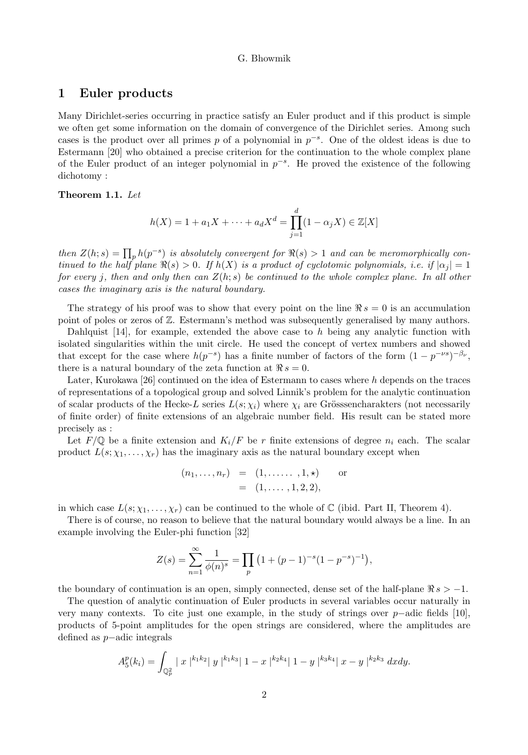# 1 Euler products

Many Dirichlet-series occurring in practice satisfy an Euler product and if this product is simple we often get some information on the domain of convergence of the Dirichlet series. Among such cases is the product over all primes p of a polynomial in  $p^{-s}$ . One of the oldest ideas is due to Estermann [20] who obtained a precise criterion for the continuation to the whole complex plane of the Euler product of an integer polynomial in  $p^{-s}$ . He proved the existence of the following dichotomy :

## Theorem 1.1. Let

$$
h(X) = 1 + a_1 X + \dots + a_d X^d = \prod_{j=1}^d (1 - \alpha_j X) \in \mathbb{Z}[X]
$$

then  $Z(h; s) = \prod_p h(p^{-s})$  is absolutely convergent for  $\Re(s) > 1$  and can be meromorphically continued to the half plane  $\Re(s) > 0$ . If  $h(X)$  is a product of cyclotomic polynomials, i.e. if  $|\alpha_j| = 1$ for every j, then and only then can  $Z(h; s)$  be continued to the whole complex plane. In all other cases the imaginary axis is the natural boundary.

The strategy of his proof was to show that every point on the line  $\Re s = 0$  is an accumulation point of poles or zeros of Z. Estermann's method was subsequently generalised by many authors.

Dahlquist  $[14]$ , for example, extended the above case to h being any analytic function with isolated singularities within the unit circle. He used the concept of vertex numbers and showed that except for the case where  $h(p^{-s})$  has a finite number of factors of the form  $(1 - p^{-\nu s})^{-\beta \nu}$ , there is a natural boundary of the zeta function at  $\Re s = 0$ .

Later, Kurokawa [26] continued on the idea of Estermann to cases where  $h$  depends on the traces of representations of a topological group and solved Linnik's problem for the analytic continuation of scalar products of the Hecke-L series  $L(s; \chi_i)$  where  $\chi_i$  are Grösssencharakters (not necessarily of finite order) of finite extensions of an algebraic number field. His result can be stated more precisely as :

Let  $F/\mathbb{Q}$  be a finite extension and  $K_i/F$  be r finite extensions of degree  $n_i$  each. The scalar product  $L(s; \chi_1, \ldots, \chi_r)$  has the imaginary axis as the natural boundary except when

$$
(n_1,...,n_r) = (1,......,1,\star)
$$
 or  
=  $(1,...,1,2,2),$ 

in which case  $L(s; \chi_1, \ldots, \chi_r)$  can be continued to the whole of C (ibid. Part II, Theorem 4).

There is of course, no reason to believe that the natural boundary would always be a line. In an example involving the Euler-phi function [32]

$$
Z(s) = \sum_{n=1}^{\infty} \frac{1}{\phi(n)^s} = \prod_p \left(1 + (p-1)^{-s}(1-p^{-s})^{-1}\right),
$$

the boundary of continuation is an open, simply connected, dense set of the half-plane  $\Re s > -1$ .

The question of analytic continuation of Euler products in several variables occur naturally in very many contexts. To cite just one example, in the study of strings over  $p$ -adic fields [10], products of 5-point amplitudes for the open strings are considered, where the amplitudes are defined as p−adic integrals

$$
A_5^p(k_i) = \int_{\mathbb{Q}_p^2} |x|^{k_1 k_2} |y|^{k_1 k_3} |1-x|^{k_2 k_4} |1-y|^{k_3 k_4} |x-y|^{k_2 k_3} dx dy.
$$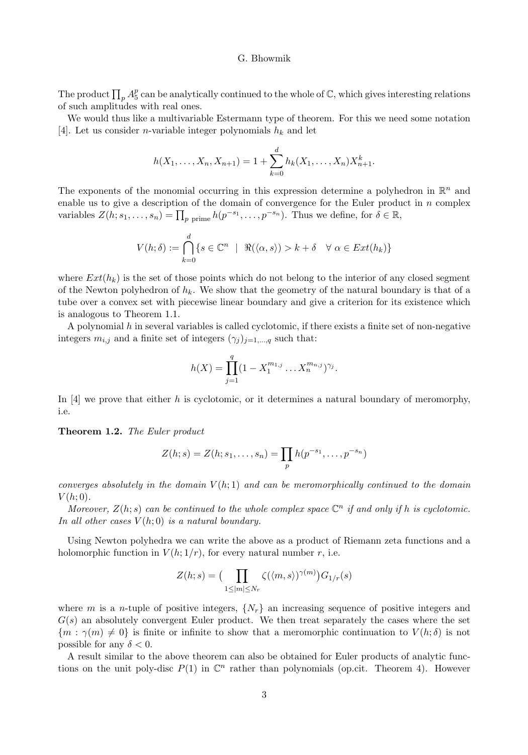The product  $\prod_p A_5^p$  can be analytically continued to the whole of  $\mathbb C$ , which gives interesting relations of such amplitudes with real ones.

We would thus like a multivariable Estermann type of theorem. For this we need some notation [4]. Let us consider *n*-variable integer polynomials  $h_k$  and let

$$
h(X_1, \ldots, X_n, X_{n+1}) = 1 + \sum_{k=0}^d h_k(X_1, \ldots, X_n) X_{n+1}^k.
$$

The exponents of the monomial occurring in this expression determine a polyhedron in  $\mathbb{R}^n$  and enable us to give a description of the domain of convergence for the Euler product in  $n$  complex variables  $Z(h; s_1, \ldots, s_n) = \prod_p \text{prime} h(p^{-s_1}, \ldots, p^{-s_n}).$  Thus we define, for  $\delta \in \mathbb{R}$ ,

$$
V(h; \delta) := \bigcap_{k=0}^d \{s \in \mathbb{C}^n \mid \ \Re(\langle \alpha, s \rangle) > k + \delta \quad \forall \ \alpha \in Ext(h_k)\}\
$$

where  $Ext(h_k)$  is the set of those points which do not belong to the interior of any closed segment of the Newton polyhedron of  $h_k$ . We show that the geometry of the natural boundary is that of a tube over a convex set with piecewise linear boundary and give a criterion for its existence which is analogous to Theorem 1.1.

A polynomial  $h$  in several variables is called cyclotomic, if there exists a finite set of non-negative integers  $m_{i,j}$  and a finite set of integers  $(\gamma_j)_{j=1,\dots,q}$  such that:

$$
h(X) = \prod_{j=1}^{q} (1 - X_1^{m_{1,j}} \dots X_n^{m_{n,j}})^{\gamma_j}.
$$

In [4] we prove that either h is cyclotomic, or it determines a natural boundary of meromorphy, i.e.

#### Theorem 1.2. The Euler product

$$
Z(h; s) = Z(h; s_1, \dots, s_n) = \prod_p h(p^{-s_1}, \dots, p^{-s_n})
$$

converges absolutely in the domain  $V(h; 1)$  and can be meromorphically continued to the domain  $V(h; 0)$ .

Moreover,  $Z(h; s)$  can be continued to the whole complex space  $\mathbb{C}^n$  if and only if h is cyclotomic. In all other cases  $V(h; 0)$  is a natural boundary.

Using Newton polyhedra we can write the above as a product of Riemann zeta functions and a holomorphic function in  $V(h; 1/r)$ , for every natural number r, i.e.

$$
Z(h;s) = \left(\prod_{1 \le |m| \le N_r} \zeta(\langle m, s \rangle)^{\gamma(m)}\right) G_{1/r}(s)
$$

where m is a n-tuple of positive integers,  $\{N_r\}$  an increasing sequence of positive integers and  $G(s)$  an absolutely convergent Euler product. We then treat separately the cases where the set  ${m : \gamma(m) \neq 0}$  is finite or infinite to show that a meromorphic continuation to  $V(h; \delta)$  is not possible for any  $\delta < 0$ .

A result similar to the above theorem can also be obtained for Euler products of analytic functions on the unit poly-disc  $P(1)$  in  $\mathbb{C}^n$  rather than polynomials (op.cit. Theorem 4). However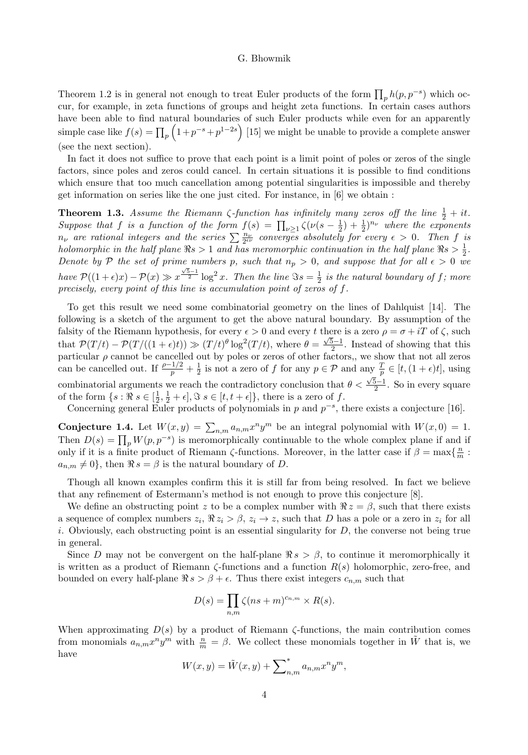Theorem 1.2 is in general not enough to treat Euler products of the form  $\prod_p h(p, p^{-s})$  which occur, for example, in zeta functions of groups and height zeta functions. In certain cases authors have been able to find natural boundaries of such Euler products while even for an apparently simple case like  $f(s) = \prod_p \left(1 + p^{-s} + p^{1-2s}\right)$  [15] we might be unable to provide a complete answer (see the next section).

In fact it does not suffice to prove that each point is a limit point of poles or zeros of the single factors, since poles and zeros could cancel. In certain situations it is possible to find conditions which ensure that too much cancellation among potential singularities is impossible and thereby get information on series like the one just cited. For instance, in [6] we obtain :

**Theorem 1.3.** Assume the Riemann  $\zeta$ -function has infinitely many zeros off the line  $\frac{1}{2} + it$ . Suppose that f is a function of the form  $f(s) = \prod_{\nu \geq 1} \zeta(\nu(s - \frac{1}{2}) + \frac{1}{2})^{n_{\nu}}$  where the exponents  $n_\nu$  are rational integers and the series  $\sum \frac{n_\nu}{2^{e\nu}}$  converges absolutely for every  $\epsilon > 0$ . Then f is holomorphic in the half plane  $\Re s > 1$  and has meromorphic continuation in the half plane  $\Re s > \frac{1}{2}$ . Denote by P the set of prime numbers p, such that  $n_p > 0$ , and suppose that for all  $\epsilon > 0$  we have  $\mathcal{P}((1+\epsilon)x) - \mathcal{P}(x) \gg x^{\frac{\sqrt{5}-1}{2}} \log^2 x$ . Then the line  $\Im s = \frac{1}{2}$  is the natural boundary of f; more precisely, every point of this line is accumulation point of zeros of  $f$ .

To get this result we need some combinatorial geometry on the lines of Dahlquist [14]. The following is a sketch of the argument to get the above natural boundary. By assumption of the falsity of the Riemann hypothesis, for every  $\epsilon > 0$  and every t there is a zero  $\rho = \sigma + iT$  of  $\zeta$ , such that  $\mathcal{P}(T/t) - \mathcal{P}(T/((1+\epsilon)t)) \gg (T/t)^{\theta} \log^2(T/t)$ , where  $\theta = \frac{\sqrt{5}-1}{2}$ . Instead of showing that this particular  $\rho$  cannot be cancelled out by poles or zeros of other factors,, we show that not all zeros can be cancelled out. If  $\frac{\rho-1/2}{p}+\frac{1}{2}$  is not a zero of f for any  $p \in \mathcal{P}$  and any  $\frac{T}{p} \in [t,(1+\epsilon)t]$ , using combinatorial arguments we reach the contradictory conclusion that  $\theta < \frac{\sqrt{5}-1}{2}$ . So in every square of the form  $\{s : \Re s \in [\frac{1}{2}, \frac{1}{2} + \epsilon], \Im s \in [t, t + \epsilon] \}$ , there is a zero of f.

Concerning general Euler products of polynomials in p and  $p^{-s}$ , there exists a conjecture [16].

Conjecture 1.4. Let  $W(x,y) = \sum_{n,m} a_{n,m} x^n y^m$  be an integral polynomial with  $W(x,0) = 1$ . Then  $D(s) = \prod_p W(p, p^{-s})$  is meromorphically continuable to the whole complex plane if and if only if it is a finite product of Riemann  $\zeta$ -functions. Moreover, in the latter case if  $\beta = \max\{\frac{n}{m} :$  $a_{n,m} \neq 0$ , then  $\Re s = \beta$  is the natural boundary of D.

Though all known examples confirm this it is still far from being resolved. In fact we believe that any refinement of Estermann's method is not enough to prove this conjecture [8].

We define an obstructing point z to be a complex number with  $\Re z = \beta$ , such that there exists a sequence of complex numbers  $z_i$ ,  $\Re z_i > \beta$ ,  $z_i \rightarrow z$ , such that D has a pole or a zero in  $z_i$  for all i. Obviously, each obstructing point is an essential singularity for  $D$ , the converse not being true in general.

Since D may not be convergent on the half-plane  $\Re s > \beta$ , to continue it meromorphically it is written as a product of Riemann  $\zeta$ -functions and a function  $R(s)$  holomorphic, zero-free, and bounded on every half-plane  $\Re s > \beta + \epsilon$ . Thus there exist integers  $c_{n,m}$  such that

$$
D(s) = \prod_{n,m} \zeta(ns+m)^{c_{n,m}} \times R(s).
$$

When approximating  $D(s)$  by a product of Riemann  $\zeta$ -functions, the main contribution comes from monomials  $a_{n,m}x^n y^m$  with  $\frac{n}{m} = \beta$ . We collect these monomials together in  $\tilde{W}$  that is, we have

$$
W(x,y) = \tilde{W}(x,y) + \sum\nolimits_{n,m}^{\infty} a_{n,m} x^n y^m,
$$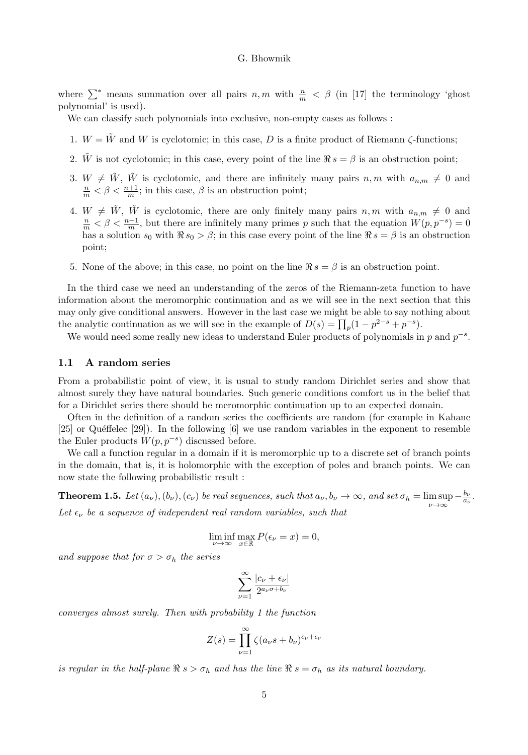where  $\sum^*$  means summation over all pairs  $n,m$  with  $\frac{n}{m} < \beta$  (in [17] the terminology 'ghost polynomial' is used).

We can classify such polynomials into exclusive, non-empty cases as follows :

- 1.  $W = \tilde{W}$  and W is cyclotomic; in this case, D is a finite product of Riemann  $\zeta$ -functions;
- 2. W is not cyclotomic; in this case, every point of the line  $\Re s = \beta$  is an obstruction point;
- 3.  $W \neq \tilde{W}$ ,  $\tilde{W}$  is cyclotomic, and there are infinitely many pairs  $n, m$  with  $a_{n,m} \neq 0$  and  $\frac{n}{m} < \beta < \frac{n+1}{m}$ ; in this case,  $\beta$  is an obstruction point;
- 4.  $W \neq \tilde{W}$ ,  $\tilde{W}$  is cyclotomic, there are only finitely many pairs  $n, m$  with  $a_{n,m} \neq 0$  and  $\frac{n}{m} < \beta < \frac{n+1}{m}$ , but there are infinitely many primes p such that the equation  $W(p, p^{-s}) = 0$ has a solution  $s_0$  with  $\Re s_0 > \beta$ ; in this case every point of the line  $\Re s = \beta$  is an obstruction point;
- 5. None of the above; in this case, no point on the line  $\Re s = \beta$  is an obstruction point.

In the third case we need an understanding of the zeros of the Riemann-zeta function to have information about the meromorphic continuation and as we will see in the next section that this may only give conditional answers. However in the last case we might be able to say nothing about the analytic continuation as we will see in the example of  $D(s) = \prod_p (1 - p^{2-s} + p^{-s}).$ 

We would need some really new ideas to understand Euler products of polynomials in  $p$  and  $p^{-s}$ .

#### 1.1 A random series

From a probabilistic point of view, it is usual to study random Dirichlet series and show that almost surely they have natural boundaries. Such generic conditions comfort us in the belief that for a Dirichlet series there should be meromorphic continuation up to an expected domain.

Often in the definition of a random series the coefficients are random (for example in Kahane  $[25]$  or Quéffelec  $[29]$ ). In the following  $[6]$  we use random variables in the exponent to resemble the Euler products  $W(p, p^{-s})$  discussed before.

We call a function regular in a domain if it is meromorphic up to a discrete set of branch points in the domain, that is, it is holomorphic with the exception of poles and branch points. We can now state the following probabilistic result :

**Theorem 1.5.** Let  $(a_{\nu}), (b_{\nu}), (c_{\nu})$  be real sequences, such that  $a_{\nu}, b_{\nu} \to \infty$ , and set  $\sigma_h = \limsup_{\nu \to \infty} -\frac{b_{\nu}}{a_{\nu}}$ . Let  $\epsilon_{\nu}$  be a sequence of independent real random variables, such that

$$
\liminf_{\nu \to \infty} \max_{x \in \mathbb{R}} P(\epsilon_{\nu} = x) = 0,
$$

and suppose that for  $\sigma > \sigma_h$  the series

$$
\sum_{\nu=1}^{\infty} \frac{|c_{\nu} + \epsilon_{\nu}|}{2^{a_{\nu}\sigma + b_{\nu}}}
$$

converges almost surely. Then with probability 1 the function

$$
Z(s) = \prod_{\nu=1}^{\infty} \zeta(a_{\nu}s + b_{\nu})^{c_{\nu} + \epsilon_{\nu}}
$$

is regular in the half-plane  $\Re s > \sigma_h$  and has the line  $\Re s = \sigma_h$  as its natural boundary.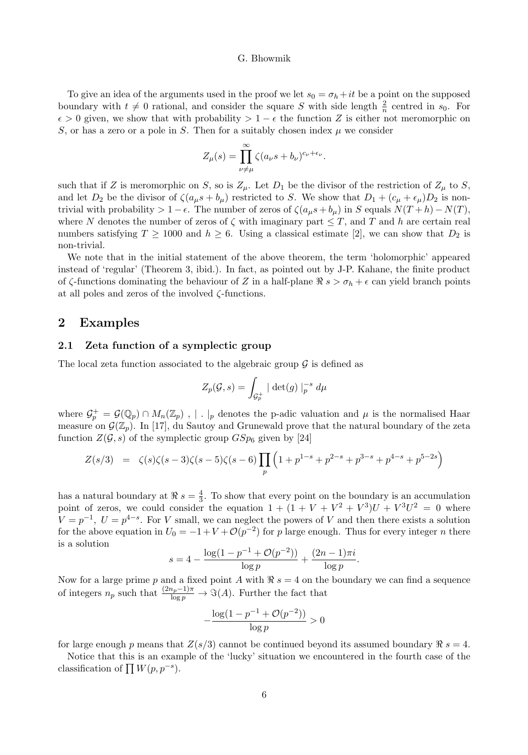To give an idea of the arguments used in the proof we let  $s_0 = \sigma_h + it$  be a point on the supposed boundary with  $t \neq 0$  rational, and consider the square S with side length  $\frac{2}{n}$  centred in  $s_0$ . For  $\epsilon > 0$  given, we show that with probability  $> 1 - \epsilon$  the function Z is either not meromorphic on S, or has a zero or a pole in S. Then for a suitably chosen index  $\mu$  we consider

$$
Z_{\mu}(s) = \prod_{\nu \neq \mu}^{\infty} \zeta(a_{\nu}s + b_{\nu})^{c_{\nu} + \epsilon_{\nu}}.
$$

such that if Z is meromorphic on S, so is  $Z_{\mu}$ . Let  $D_1$  be the divisor of the restriction of  $Z_{\mu}$  to S, and let  $D_2$  be the divisor of  $\zeta(a_\mu s + b_\mu)$  restricted to S. We show that  $D_1 + (c_\mu + \epsilon_\mu)D_2$  is nontrivial with probability  $> 1 - \epsilon$ . The number of zeros of  $\zeta(a_\mu s + b_\mu)$  in S equals  $N(T + h) - N(T)$ , where N denotes the number of zeros of  $\zeta$  with imaginary part  $\leq T$ , and T and h are certain real numbers satisfying  $T \ge 1000$  and  $h \ge 6$ . Using a classical estimate [2], we can show that  $D_2$  is non-trivial.

We note that in the initial statement of the above theorem, the term 'holomorphic' appeared instead of 'regular' (Theorem 3, ibid.). In fact, as pointed out by J-P. Kahane, the finite product of  $\zeta$ -functions dominating the behaviour of Z in a half-plane  $\Re s > \sigma_h + \epsilon$  can yield branch points at all poles and zeros of the involved ζ-functions.

## 2 Examples

## 2.1 Zeta function of a symplectic group

The local zeta function associated to the algebraic group  $\mathcal G$  is defined as

$$
Z_p(\mathcal{G},s) = \int_{\mathcal{G}_p^+} |\det(g)|_p^{-s} d\mu
$$

where  $\mathcal{G}_p^+ = \mathcal{G}(\mathbb{Q}_p) \cap M_n(\mathbb{Z}_p)$ , | . |p denotes the p-adic valuation and  $\mu$  is the normalised Haar measure on  $\mathcal{G}(\mathbb{Z}_p)$ . In [17], du Sautoy and Grunewald prove that the natural boundary of the zeta function  $Z(\mathcal{G}, s)$  of the symplectic group  $GSp_6$  given by [24]

$$
Z(s/3) = \zeta(s)\zeta(s-3)\zeta(s-5)\zeta(s-6)\prod_{p} \left(1 + p^{1-s} + p^{2-s} + p^{3-s} + p^{4-s} + p^{5-2s}\right)
$$

has a natural boundary at  $\Re s = \frac{4}{3}$ . To show that every point on the boundary is an accumulation point of zeros, we could consider the equation  $1 + (1 + V + V^2 + V^3)U + V^3U^2 = 0$  where  $V = p^{-1}$ ,  $U = p^{4-s}$ . For V small, we can neglect the powers of V and then there exists a solution for the above equation in  $U_0 = -1 + V + \mathcal{O}(p^{-2})$  for p large enough. Thus for every integer n there is a solution

$$
s = 4 - \frac{\log(1 - p^{-1} + \mathcal{O}(p^{-2}))}{\log p} + \frac{(2n - 1)\pi i}{\log p}.
$$

Now for a large prime p and a fixed point A with  $\Re s = 4$  on the boundary we can find a sequence of integers  $n_p$  such that  $\frac{(2n_p-1)\pi}{\log p} \to \Im(A)$ . Further the fact that

$$
-\frac{\log(1 - p^{-1} + \mathcal{O}(p^{-2}))}{\log p} > 0
$$

for large enough p means that  $Z(s/3)$  cannot be continued beyond its assumed boundary  $\Re s = 4$ .

Notice that this is an example of the 'lucky' situation we encountered in the fourth case of the classification of  $\prod W(p, p^{-s}).$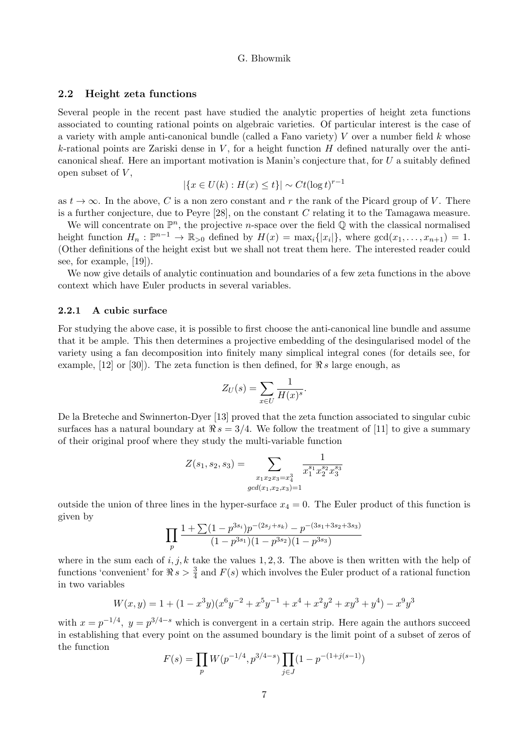## 2.2 Height zeta functions

Several people in the recent past have studied the analytic properties of height zeta functions associated to counting rational points on algebraic varieties. Of particular interest is the case of a variety with ample anti-canonical bundle (called a Fano variety)  $V$  over a number field  $k$  whose k-rational points are Zariski dense in  $V$ , for a height function  $H$  defined naturally over the anticanonical sheaf. Here an important motivation is Manin's conjecture that, for U a suitably defined open subset of  $V$ ,

$$
|\{x \in U(k) : H(x) \le t\}| \sim Ct(\log t)^{r-1}
$$

as  $t \to \infty$ . In the above, C is a non zero constant and r the rank of the Picard group of V. There is a further conjecture, due to Peyre  $[28]$ , on the constant C relating it to the Tamagawa measure.

We will concentrate on  $\mathbb{P}^n$ , the projective *n*-space over the field  $\mathbb Q$  with the classical normalised height function  $H_n : \mathbb{P}^{n-1} \to \mathbb{R}_{>0}$  defined by  $H(x) = \max_i \{|x_i|\}$ , where  $\gcd(x_1, \ldots, x_{n+1}) = 1$ . (Other definitions of the height exist but we shall not treat them here. The interested reader could see, for example, [19]).

We now give details of analytic continuation and boundaries of a few zeta functions in the above context which have Euler products in several variables.

## 2.2.1 A cubic surface

For studying the above case, it is possible to first choose the anti-canonical line bundle and assume that it be ample. This then determines a projective embedding of the desingularised model of the variety using a fan decomposition into finitely many simplical integral cones (for details see, for example, [12] or [30]). The zeta function is then defined, for  $\Re s$  large enough, as

$$
Z_U(s) = \sum_{x \in U} \frac{1}{H(x)^s}.
$$

De la Breteche and Swinnerton-Dyer [13] proved that the zeta function associated to singular cubic surfaces has a natural boundary at  $\Re s = 3/4$ . We follow the treatment of [11] to give a summary of their original proof where they study the multi-variable function

$$
Z(s_1, s_2, s_3) = \sum_{\substack{x_1x_2x_3=x_4^3 \ gcd(x_1, x_2, x_3) = 1}} \frac{1}{x_1^{s_1} x_2^{s_2} x_3^{s_3}}
$$

outside the union of three lines in the hyper-surface  $x_4 = 0$ . The Euler product of this function is given by

$$
\prod_{p} \frac{1 + \sum (1 - p^{3s_i}) p^{-(2s_j + s_k)} - p^{-(3s_1 + 3s_2 + 3s_3)}}{(1 - p^{3s_1})(1 - p^{3s_2})(1 - p^{3s_3})}
$$

where in the sum each of  $i, j, k$  take the values 1, 2, 3. The above is then written with the help of functions 'convenient' for  $\Re s > \frac{3}{4}$  and  $F(s)$  which involves the Euler product of a rational function in two variables

$$
W(x,y) = 1 + (1 - x^3y)(x^6y^{-2} + x^5y^{-1} + x^4 + x^2y^2 + xy^3 + y^4) - x^9y^3
$$

with  $x = p^{-1/4}$ ,  $y = p^{3/4-s}$  which is convergent in a certain strip. Here again the authors succeed in establishing that every point on the assumed boundary is the limit point of a subset of zeros of the function

$$
F(s) = \prod_{p} W(p^{-1/4}, p^{3/4-s}) \prod_{j \in J} (1 - p^{-(1+j(s-1)})
$$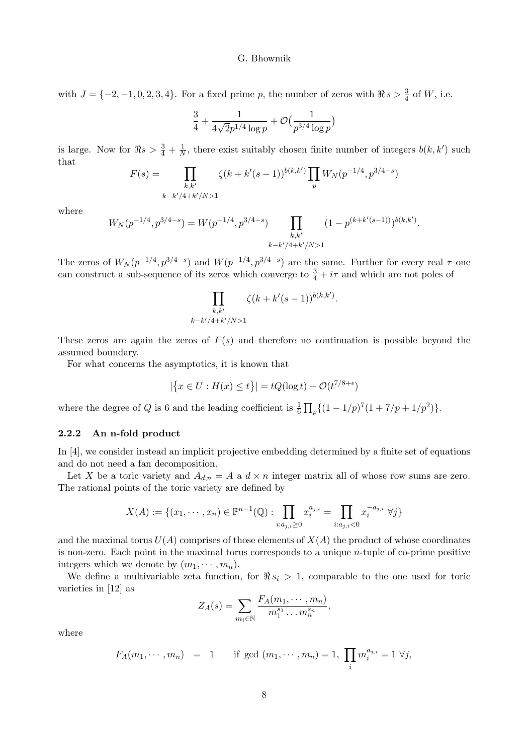with  $J = \{-2, -1, 0, 2, 3, 4\}$ . For a fixed prime p, the number of zeros with  $\Re s > \frac{3}{4}$  of W, i.e.

$$
\frac{3}{4} + \frac{1}{4\sqrt{2}p^{1/4}\log p} + \mathcal{O}\big( \frac{1}{p^{3/4}\log p} \big)
$$

is large. Now for  $\Re s > \frac{3}{4} + \frac{1}{N}$ , there exist suitably chosen finite number of integers  $b(k, k')$  such that

$$
F(s) = \prod_{\substack{k,k' \\ k-k'/4+k'/N>1}} \zeta(k+k'(s-1))^{b(k,k')} \prod_p W_N(p^{-1/4}, p^{3/4-s})
$$

where

$$
W_N(p^{-1/4}, p^{3/4-s}) = W(p^{-1/4}, p^{3/4-s}) \prod_{\substack{k,k' \\ k-k'/4+k'/N>1}} (1-p^{(k+k'(s-1))})^{b(k,k')}.
$$

The zeros of  $W_N(p^{-1/4}, p^{3/4-s})$  and  $W(p^{-1/4}, p^{3/4-s})$  are the same. Further for every real  $\tau$  one can construct a sub-sequence of its zeros which converge to  $\frac{3}{4} + i\tau$  and which are not poles of

$$
\prod_{\substack{k,k'\\k-k'/4+k'/N>1}} \zeta(k+k'(s-1))^{b(k,k')}.
$$

These zeros are again the zeros of  $F(s)$  and therefore no continuation is possible beyond the assumed boundary.

For what concerns the asymptotics, it is known that

$$
|\{x \in U : H(x) \le t\}| = tQ(\log t) + \mathcal{O}(t^{7/8 + \epsilon})
$$

where the degree of Q is 6 and the leading coefficient is  $\frac{1}{6} \prod_{p} \left( (1 - 1/p)^7 (1 + 7/p + 1/p^2) \right)$ .

## 2.2.2 An n-fold product

In [4], we consider instead an implicit projective embedding determined by a finite set of equations and do not need a fan decomposition.

Let X be a toric variety and  $A_{d,n} = A$  a  $d \times n$  integer matrix all of whose row sums are zero. The rational points of the toric variety are defined by

$$
X(A):=\{(x_1,\cdots,x_n)\in \mathbb{P}^{n-1}(\mathbb{Q}): \prod_{i:a_{j,i}\geq 0}x_i^{a_{j,i}}=\prod_{i:a_{j,i}<0}x_i^{-a_{j,i}}\ \forall j\}
$$

and the maximal torus  $U(A)$  comprises of those elements of  $X(A)$  the product of whose coordinates is non-zero. Each point in the maximal torus corresponds to a unique  $n$ -tuple of co-prime positive integers which we denote by  $(m_1, \dots, m_n)$ .

We define a multivariable zeta function, for  $\Re s_i > 1$ , comparable to the one used for toric varieties in [12] as

$$
Z_A(s) = \sum_{m_i \in \mathbb{N}} \frac{F_A(m_1, \dots, m_n)}{m_1^{s_1} \dots m_n^{s_n}},
$$

where

$$
F_A(m_1, \dots, m_n) = 1
$$
 if gcd  $(m_1, \dots, m_n) = 1$ ,  $\prod_i m_i^{a_{j,i}} = 1 \ \forall j$ ,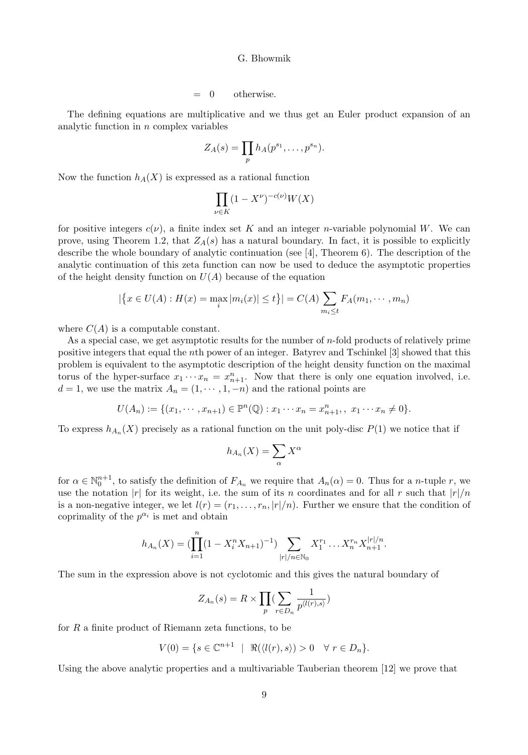$= 0$  otherwise.

The defining equations are multiplicative and we thus get an Euler product expansion of an analytic function in  $n$  complex variables

$$
Z_A(s) = \prod_p h_A(p^{s_1}, \dots, p^{s_n}).
$$

Now the function  $h_A(X)$  is expressed as a rational function

$$
\prod_{\nu \in K} (1-X^{\nu})^{-c(\nu)}W(X)
$$

for positive integers  $c(\nu)$ , a finite index set K and an integer *n*-variable polynomial W. We can prove, using Theorem 1.2, that  $Z_A(s)$  has a natural boundary. In fact, it is possible to explicitly describe the whole boundary of analytic continuation (see [4], Theorem 6). The description of the analytic continuation of this zeta function can now be used to deduce the asymptotic properties of the height density function on  $U(A)$  because of the equation

$$
|\{x \in U(A) : H(x) = \max_{i} |m_{i}(x)| \le t\}| = C(A) \sum_{m_{i} \le t} F_{A}(m_{1}, \cdots, m_{n})
$$

where  $C(A)$  is a computable constant.

As a special case, we get asymptotic results for the number of n-fold products of relatively prime positive integers that equal the nth power of an integer. Batyrev and Tschinkel [3] showed that this problem is equivalent to the asymptotic description of the height density function on the maximal torus of the hyper-surface  $x_1 \cdots x_n = x_{n+1}^n$ . Now that there is only one equation involved, i.e.  $d = 1$ , we use the matrix  $A_n = (1, \dots, 1, -n)$  and the rational points are

$$
U(A_n) := \{ (x_1, \dots, x_{n+1}) \in \mathbb{P}^n(\mathbb{Q}) : x_1 \dots x_n = x_{n+1}^n, \ x_1 \dots x_n \neq 0 \}.
$$

To express  $h_{A_n}(X)$  precisely as a rational function on the unit poly-disc  $P(1)$  we notice that if

$$
h_{A_n}(X) = \sum_{\alpha} X^{\alpha}
$$

for  $\alpha \in \mathbb{N}_0^{n+1}$ , to satisfy the definition of  $F_{A_n}$  we require that  $A_n(\alpha) = 0$ . Thus for a *n*-tuple *r*, we use the notation |r| for its weight, i.e. the sum of its n coordinates and for all r such that  $|r|/n$ is a non-negative integer, we let  $l(r) = (r_1, \ldots, r_n, |r|/n)$ . Further we ensure that the condition of coprimality of the  $p^{\alpha_i}$  is met and obtain

$$
h_{A_n}(X) = \left(\prod_{i=1}^n (1 - X_i^n X_{n+1})^{-1}\right) \sum_{|r|/n \in \mathbb{N}_0} X_1^{r_1} \dots X_n^{r_n} X_{n+1}^{|r|/n}.
$$

The sum in the expression above is not cyclotomic and this gives the natural boundary of

$$
Z_{A_n}(s) = R \times \prod_p \left( \sum_{r \in D_n} \frac{1}{p^{\langle l(r), s \rangle}} \right)
$$

for  $R$  a finite product of Riemann zeta functions, to be

$$
V(0) = \{ s \in \mathbb{C}^{n+1} \mid \Re(\langle l(r), s \rangle) > 0 \quad \forall \ r \in D_n \}.
$$

Using the above analytic properties and a multivariable Tauberian theorem [12] we prove that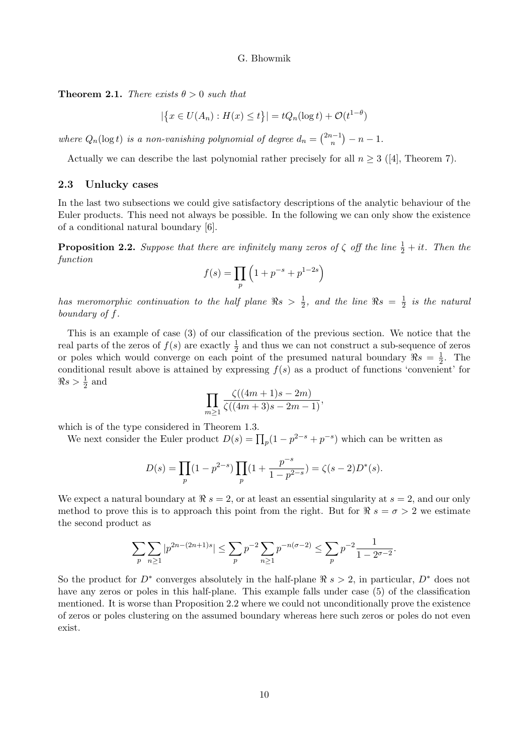**Theorem 2.1.** There exists  $\theta > 0$  such that

$$
|\{x \in U(A_n) : H(x) \le t\}| = tQ_n(\log t) + \mathcal{O}(t^{1-\theta})
$$

where  $Q_n(\log t)$  is a non-vanishing polynomial of degree  $d_n = \binom{2n-1}{n} - n - 1$ .

Actually we can describe the last polynomial rather precisely for all  $n \geq 3$  ([4], Theorem 7).

## 2.3 Unlucky cases

In the last two subsections we could give satisfactory descriptions of the analytic behaviour of the Euler products. This need not always be possible. In the following we can only show the existence of a conditional natural boundary [6].

**Proposition 2.2.** Suppose that there are infinitely many zeros of  $\zeta$  off the line  $\frac{1}{2} + it$ . Then the function

$$
f(s) = \prod_{p} \left( 1 + p^{-s} + p^{1-2s} \right)
$$

has meromorphic continuation to the half plane  $\Re s > \frac{1}{2}$ , and the line  $\Re s = \frac{1}{2}$  is the natural boundary of f.

This is an example of case (3) of our classification of the previous section. We notice that the real parts of the zeros of  $f(s)$  are exactly  $\frac{1}{2}$  and thus we can not construct a sub-sequence of zeros or poles which would converge on each point of the presumed natural boundary  $\Re s = \frac{1}{2}$ . The conditional result above is attained by expressing  $f(s)$  as a product of functions 'convenient' for  $\Re s > \frac{1}{2}$  and

$$
\prod_{m\geq 1}\frac{\zeta((4m+1)s-2m)}{\zeta((4m+3)s-2m-1)},
$$

which is of the type considered in Theorem 1.3.

We next consider the Euler product  $D(s) = \prod_p (1 - p^{2-s} + p^{-s})$  which can be written as

$$
D(s) = \prod_p (1 - p^{2-s}) \prod_p (1 + \frac{p^{-s}}{1 - p^{2-s}}) = \zeta(s-2) D^*(s).
$$

We expect a natural boundary at  $\Re s = 2$ , or at least an essential singularity at  $s = 2$ , and our only method to prove this is to approach this point from the right. But for  $\Re s = \sigma > 2$  we estimate the second product as

$$
\sum_{p} \sum_{n\geq 1} |p^{2n-(2n+1)s}| \leq \sum_{p} p^{-2} \sum_{n\geq 1} p^{-n(\sigma-2)} \leq \sum_{p} p^{-2} \frac{1}{1-2^{\sigma-2}}.
$$

So the product for  $D^*$  converges absolutely in the half-plane  $\Re s > 2$ , in particular,  $D^*$  does not have any zeros or poles in this half-plane. This example falls under case (5) of the classification mentioned. It is worse than Proposition 2.2 where we could not unconditionally prove the existence of zeros or poles clustering on the assumed boundary whereas here such zeros or poles do not even exist.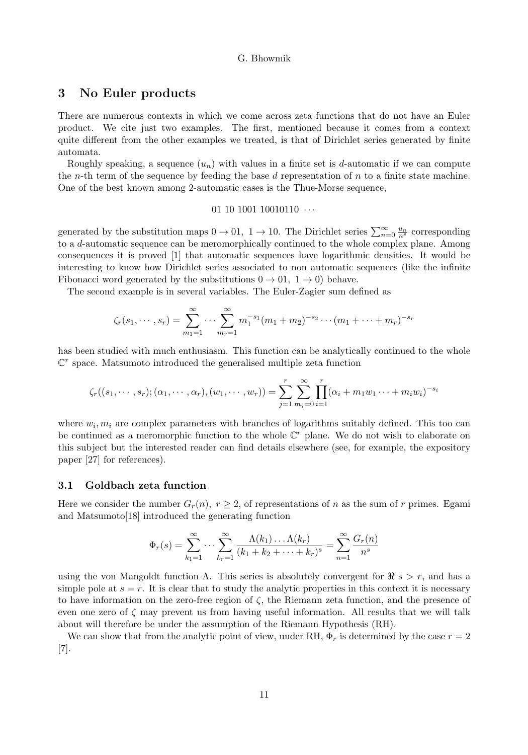# 3 No Euler products

There are numerous contexts in which we come across zeta functions that do not have an Euler product. We cite just two examples. The first, mentioned because it comes from a context quite different from the other examples we treated, is that of Dirichlet series generated by finite automata.

Roughly speaking, a sequence  $(u_n)$  with values in a finite set is d-automatic if we can compute the *n*-th term of the sequence by feeding the base d representation of  $n$  to a finite state machine. One of the best known among 2-automatic cases is the Thue-Morse sequence,

## 01 10 1001 10010110  $\cdots$

generated by the substitution maps  $0 \to 01$ ,  $1 \to 10$ . The Dirichlet series  $\sum_{n=0}^{\infty} \frac{u_n}{n^s}$  corresponding to a d-automatic sequence can be meromorphically continued to the whole complex plane. Among consequences it is proved [1] that automatic sequences have logarithmic densities. It would be interesting to know how Dirichlet series associated to non automatic sequences (like the infinite Fibonacci word generated by the substitutions  $0 \to 01$ ,  $1 \to 0$ ) behave.

The second example is in several variables. The Euler-Zagier sum defined as

$$
\zeta_r(s_1,\dots,s_r) = \sum_{m_1=1}^{\infty} \dots \sum_{m_r=1}^{\infty} m_1^{-s_1} (m_1+m_2)^{-s_2} \dots (m_1+\dots+m_r)^{-s_r}
$$

has been studied with much enthusiasm. This function can be analytically continued to the whole  $\mathbb{C}^r$  space. Matsumoto introduced the generalised multiple zeta function

$$
\zeta_r((s_1,\dots,s_r);(\alpha_1,\dots,\alpha_r),(w_1,\dots,w_r)) = \sum_{j=1}^r \sum_{m_j=0}^{\infty} \prod_{i=1}^r (\alpha_i+m_1w_1\dots+m_iw_i)^{-s_i}
$$

where  $w_i, m_i$  are complex parameters with branches of logarithms suitably defined. This too can be continued as a meromorphic function to the whole  $\mathbb{C}^r$  plane. We do not wish to elaborate on this subject but the interested reader can find details elsewhere (see, for example, the expository paper [27] for references).

## 3.1 Goldbach zeta function

Here we consider the number  $G_r(n)$ ,  $r \geq 2$ , of representations of n as the sum of r primes. Egami and Matsumoto[18] introduced the generating function

$$
\Phi_r(s) = \sum_{k_1=1}^{\infty} \cdots \sum_{k_r=1}^{\infty} \frac{\Lambda(k_1) \dots \Lambda(k_r)}{(k_1 + k_2 + \cdots + k_r)^s} = \sum_{n=1}^{\infty} \frac{G_r(n)}{n^s}
$$

using the von Mangoldt function  $\Lambda$ . This series is absolutely convergent for  $\Re s > r$ , and has a simple pole at  $s = r$ . It is clear that to study the analytic properties in this context it is necessary to have information on the zero-free region of  $\zeta$ , the Riemann zeta function, and the presence of even one zero of  $\zeta$  may prevent us from having useful information. All results that we will talk about will therefore be under the assumption of the Riemann Hypothesis (RH).

We can show that from the analytic point of view, under RH,  $\Phi_r$  is determined by the case  $r = 2$ [7].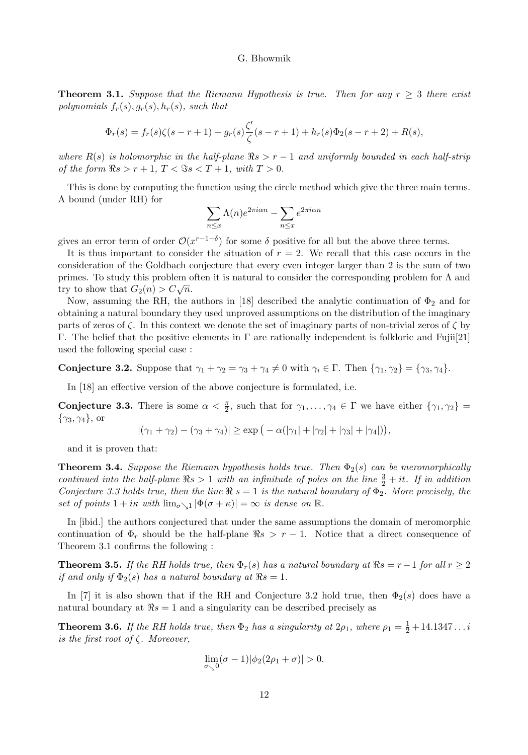**Theorem 3.1.** Suppose that the Riemann Hypothesis is true. Then for any  $r \geq 3$  there exist polynomials  $f_r(s), g_r(s), h_r(s)$ , such that

$$
\Phi_r(s) = f_r(s)\zeta(s-r+1) + g_r(s)\frac{\zeta'}{\zeta}(s-r+1) + h_r(s)\Phi_2(s-r+2) + R(s),
$$

where  $R(s)$  is holomorphic in the half-plane  $\Re s > r - 1$  and uniformly bounded in each half-strip of the form  $\Re s > r + 1$ ,  $T < \Im s < T + 1$ , with  $T > 0$ .

This is done by computing the function using the circle method which give the three main terms. A bound (under RH) for

$$
\sum_{n \le x} \Lambda(n) e^{2\pi i \alpha n} - \sum_{n \le x} e^{2\pi i \alpha n}
$$

gives an error term of order  $\mathcal{O}(x^{r-1-\delta})$  for some  $\delta$  positive for all but the above three terms.

It is thus important to consider the situation of  $r = 2$ . We recall that this case occurs in the consideration of the Goldbach conjecture that every even integer larger than 2 is the sum of two primes. To study this problem often it is natural to consider the corresponding problem for Λ and try to show that  $G_2(n) > C\sqrt{n}$ .

Now, assuming the RH, the authors in [18] described the analytic continuation of  $\Phi_2$  and for obtaining a natural boundary they used unproved assumptions on the distribution of the imaginary parts of zeros of  $\zeta$ . In this context we denote the set of imaginary parts of non-trivial zeros of  $\zeta$  by Γ. The belief that the positive elements in Γ are rationally independent is folkloric and Fujii[21] used the following special case :

**Conjecture 3.2.** Suppose that  $\gamma_1 + \gamma_2 = \gamma_3 + \gamma_4 \neq 0$  with  $\gamma_i \in \Gamma$ . Then  $\{\gamma_1, \gamma_2\} = \{\gamma_3, \gamma_4\}.$ 

In [18] an effective version of the above conjecture is formulated, i.e.

**Conjecture 3.3.** There is some  $\alpha < \frac{\pi}{2}$ , such that for  $\gamma_1, \ldots, \gamma_4 \in \Gamma$  we have either  $\{\gamma_1, \gamma_2\}$  $\{\gamma_3, \gamma_4\}$ , or

$$
|(\gamma_1 + \gamma_2) - (\gamma_3 + \gamma_4)| \ge \exp\big(-\alpha(|\gamma_1| + |\gamma_2| + |\gamma_3| + |\gamma_4|)\big),
$$

and it is proven that:

**Theorem 3.4.** Suppose the Riemann hypothesis holds true. Then  $\Phi_2(s)$  can be meromorphically continued into the half-plane  $\Re s > 1$  with an infinitude of poles on the line  $\frac{3}{2} + it$ . If in addition Conjecture 3.3 holds true, then the line  $\Re s = 1$  is the natural boundary of  $\Phi_2$ . More precisely, the set of points  $1 + i\kappa$  with  $\lim_{\sigma \searrow 1} |\Phi(\sigma + \kappa)| = \infty$  is dense on  $\mathbb{R}$ .

In [ibid.] the authors conjectured that under the same assumptions the domain of meromorphic continuation of  $\Phi_r$  should be the half-plane  $\Re s > r - 1$ . Notice that a direct consequence of Theorem 3.1 confirms the following :

**Theorem 3.5.** If the RH holds true, then  $\Phi_r(s)$  has a natural boundary at  $\Re s = r-1$  for all  $r \geq 2$ if and only if  $\Phi_2(s)$  has a natural boundary at  $\Re s = 1$ .

In [7] it is also shown that if the RH and Conjecture 3.2 hold true, then  $\Phi_2(s)$  does have a natural boundary at  $\Re s = 1$  and a singularity can be described precisely as

**Theorem 3.6.** If the RH holds true, then  $\Phi_2$  has a singularity at  $2\rho_1$ , where  $\rho_1 = \frac{1}{2} + 14.1347...i$ is the first root of  $\zeta$ . Moreover,

$$
\lim_{\sigma \searrow 0} (\sigma - 1) |\phi_2(2\rho_1 + \sigma)| > 0.
$$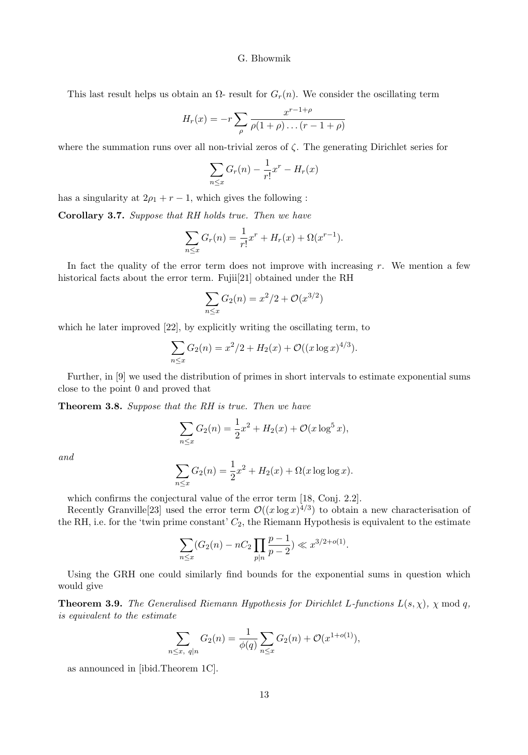This last result helps us obtain an  $\Omega$ - result for  $G_r(n)$ . We consider the oscillating term

$$
H_r(x) = -r \sum_{\rho} \frac{x^{r-1+\rho}}{\rho(1+\rho)\dots(r-1+\rho)}
$$

where the summation runs over all non-trivial zeros of  $\zeta$ . The generating Dirichlet series for

$$
\sum_{n \le x} G_r(n) - \frac{1}{r!}x^r - H_r(x)
$$

has a singularity at  $2\rho_1 + r - 1$ , which gives the following :

Corollary 3.7. Suppose that RH holds true. Then we have

$$
\sum_{n \le x} G_r(n) = \frac{1}{r!} x^r + H_r(x) + \Omega(x^{r-1}).
$$

In fact the quality of the error term does not improve with increasing  $r$ . We mention a few historical facts about the error term. Fujii[21] obtained under the RH

$$
\sum_{n \le x} G_2(n) = x^2/2 + \mathcal{O}(x^{3/2})
$$

which he later improved [22], by explicitly writing the oscillating term, to

$$
\sum_{n \le x} G_2(n) = x^2/2 + H_2(x) + \mathcal{O}((x \log x)^{4/3}).
$$

Further, in [9] we used the distribution of primes in short intervals to estimate exponential sums close to the point 0 and proved that

Theorem 3.8. Suppose that the RH is true. Then we have

$$
\sum_{n \le x} G_2(n) = \frac{1}{2}x^2 + H_2(x) + \mathcal{O}(x \log^5 x),
$$

and

$$
\sum_{n \le x} G_2(n) = \frac{1}{2}x^2 + H_2(x) + \Omega(x \log \log x).
$$

which confirms the conjectural value of the error term [18, Conj. 2.2].

Recently Granville<sup>[23]</sup> used the error term  $\mathcal{O}((x \log x)^{4/3})$  to obtain a new characterisation of the RH, i.e. for the 'twin prime constant'  $C_2$ , the Riemann Hypothesis is equivalent to the estimate

$$
\sum_{n \le x} (G_2(n) - nC_2 \prod_{p \mid n} \frac{p-1}{p-2}) \ll x^{3/2 + o(1)}.
$$

Using the GRH one could similarly find bounds for the exponential sums in question which would give

**Theorem 3.9.** The Generalised Riemann Hypothesis for Dirichlet L-functions  $L(s, \chi)$ ,  $\chi \mod q$ , is equivalent to the estimate

$$
\sum_{n \le x, q \mid n} G_2(n) = \frac{1}{\phi(q)} \sum_{n \le x} G_2(n) + \mathcal{O}(x^{1+o(1)}),
$$

as announced in [ibid.Theorem 1C].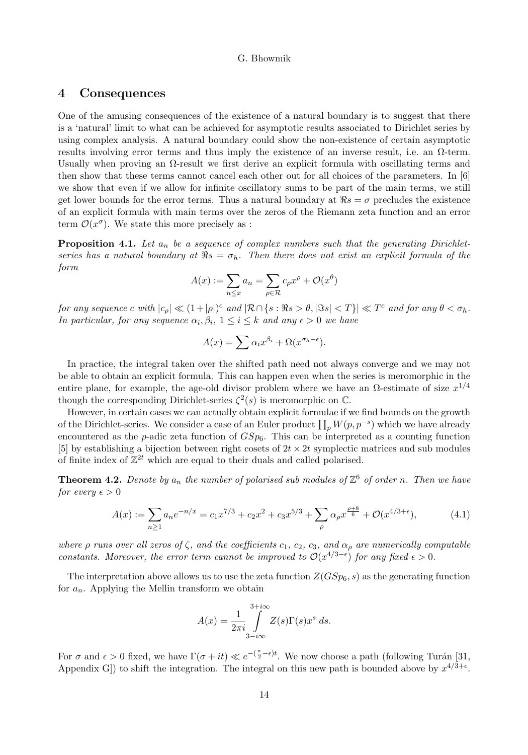# 4 Consequences

One of the amusing consequences of the existence of a natural boundary is to suggest that there is a 'natural' limit to what can be achieved for asymptotic results associated to Dirichlet series by using complex analysis. A natural boundary could show the non-existence of certain asymptotic results involving error terms and thus imply the existence of an inverse result, i.e. an Ω-term. Usually when proving an  $\Omega$ -result we first derive an explicit formula with oscillating terms and then show that these terms cannot cancel each other out for all choices of the parameters. In [6] we show that even if we allow for infinite oscillatory sums to be part of the main terms, we still get lower bounds for the error terms. Thus a natural boundary at  $\Re s = \sigma$  precludes the existence of an explicit formula with main terms over the zeros of the Riemann zeta function and an error term  $\mathcal{O}(x^{\sigma})$ . We state this more precisely as :

**Proposition 4.1.** Let  $a_n$  be a sequence of complex numbers such that the generating Dirichletseries has a natural boundary at  $\Re s = \sigma_h$ . Then there does not exist an explicit formula of the form

$$
A(x) := \sum_{n \le x} a_n = \sum_{\rho \in \mathcal{R}} c_\rho x^\rho + \mathcal{O}(x^\theta)
$$

for any sequence c with  $|c_{\rho}| \ll (1+|\rho|)^{c}$  and  $|\mathcal{R}\cap\{s:\Re s>\theta, |\Im s| < T\}|\ll T^{c}$  and for any  $\theta < \sigma_{h}$ . In particular, for any sequence  $\alpha_i, \beta_i, 1 \leq i \leq k$  and any  $\epsilon > 0$  we have

$$
A(x) = \sum \alpha_i x^{\beta_i} + \Omega(x^{\sigma_h - \epsilon}).
$$

In practice, the integral taken over the shifted path need not always converge and we may not be able to obtain an explicit formula. This can happen even when the series is meromorphic in the entire plane, for example, the age-old divisor problem where we have an  $\Omega$ -estimate of size  $x^{1/4}$ though the corresponding Dirichlet-series  $\zeta^2(s)$  is meromorphic on  $\mathbb{C}$ .

However, in certain cases we can actually obtain explicit formulae if we find bounds on the growth of the Dirichlet-series. We consider a case of an Euler product  $\prod_p W(p, p^{-s})$  which we have already encountered as the p-adic zeta function of  $GSp_6$ . This can be interpreted as a counting function [5] by establishing a bijection between right cosets of  $2t \times 2t$  symplectic matrices and sub modules of finite index of  $\mathbb{Z}^{2t}$  which are equal to their duals and called polarised.

**Theorem 4.2.** Denote by  $a_n$  the number of polarised sub modules of  $\mathbb{Z}^6$  of order n. Then we have for every  $\epsilon > 0$ 

$$
A(x) := \sum_{n\geq 1} a_n e^{-n/x} = c_1 x^{7/3} + c_2 x^2 + c_3 x^{5/3} + \sum_{\rho} \alpha_{\rho} x^{\frac{\rho+8}{6}} + \mathcal{O}(x^{4/3+\epsilon}),\tag{4.1}
$$

where  $\rho$  runs over all zeros of  $\zeta$ , and the coefficients c<sub>1</sub>, c<sub>2</sub>, c<sub>3</sub>, and  $\alpha_{\rho}$  are numerically computable constants. Moreover, the error term cannot be improved to  $\mathcal{O}(x^{4/3-\epsilon})$  for any fixed  $\epsilon > 0$ .

The interpretation above allows us to use the zeta function  $Z(GSp_6, s)$  as the generating function for  $a_n$ . Applying the Mellin transform we obtain

$$
A(x) = \frac{1}{2\pi i} \int_{3-i\infty}^{3+i\infty} Z(s)\Gamma(s)x^s ds.
$$

For  $\sigma$  and  $\epsilon > 0$  fixed, we have  $\Gamma(\sigma + it) \ll e^{-(\frac{\pi}{2}-\epsilon)t}$ . We now choose a path (following Turán [31, Appendix G) to shift the integration. The integral on this new path is bounded above by  $x^{4/3+\epsilon}$ .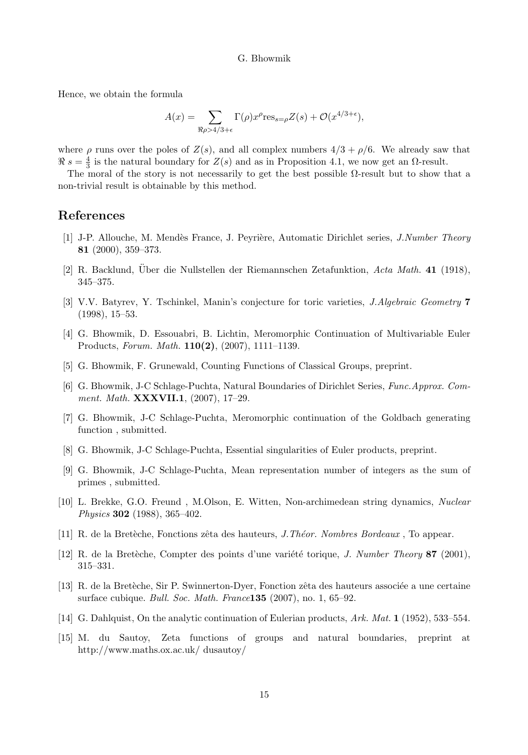Hence, we obtain the formula

$$
A(x) = \sum_{\Re \rho > 4/3 + \epsilon} \Gamma(\rho) x^{\rho} \text{res}_{s=\rho} Z(s) + \mathcal{O}(x^{4/3 + \epsilon}),
$$

where  $\rho$  runs over the poles of  $Z(s)$ , and all complex numbers  $4/3 + \rho/6$ . We already saw that  $\Re s = \frac{4}{3}$  is the natural boundary for  $Z(s)$  and as in Proposition 4.1, we now get an  $\Omega$ -result.

The moral of the story is not necessarily to get the best possible  $\Omega$ -result but to show that a non-trivial result is obtainable by this method.

## References

- [1] J-P. Allouche, M. Mendès France, J. Peyrière, Automatic Dirichlet series, *J.Number Theory* 81 (2000), 359–373.
- $[2]$  R. Backlund, Über die Nullstellen der Riemannschen Zetafunktion, Acta Math. 41 (1918), 345–375.
- [3] V.V. Batyrev, Y. Tschinkel, Manin's conjecture for toric varieties, J.Algebraic Geometry 7 (1998), 15–53.
- [4] G. Bhowmik, D. Essouabri, B. Lichtin, Meromorphic Continuation of Multivariable Euler Products, Forum. Math. 110(2), (2007), 1111–1139.
- [5] G. Bhowmik, F. Grunewald, Counting Functions of Classical Groups, preprint.
- [6] G. Bhowmik, J-C Schlage-Puchta, Natural Boundaries of Dirichlet Series, Func.Approx. Comment. Math. **XXXVII.1**, (2007), 17-29.
- [7] G. Bhowmik, J-C Schlage-Puchta, Meromorphic continuation of the Goldbach generating function , submitted.
- [8] G. Bhowmik, J-C Schlage-Puchta, Essential singularities of Euler products, preprint.
- [9] G. Bhowmik, J-C Schlage-Puchta, Mean representation number of integers as the sum of primes , submitted.
- [10] L. Brekke, G.O. Freund , M.Olson, E. Witten, Non-archimedean string dynamics, Nuclear Physics 302 (1988), 365–402.
- [11] R. de la Bretèche, Fonctions zêta des hauteurs, *J. Théor. Nombres Bordeaux*, To appear.
- [12] R. de la Bretèche, Compter des points d'une variété torique, *J. Number Theory* 87 (2001), 315–331.
- [13] R. de la Bretèche, Sir P. Swinnerton-Dyer, Fonction zêta des hauteurs associée a une certaine surface cubique. Bull. Soc. Math. France135 (2007), no. 1, 65–92.
- [14] G. Dahlquist, On the analytic continuation of Eulerian products, Ark. Mat. 1 (1952), 533–554.
- [15] M. du Sautoy, Zeta functions of groups and natural boundaries, preprint at http://www.maths.ox.ac.uk/ dusautoy/